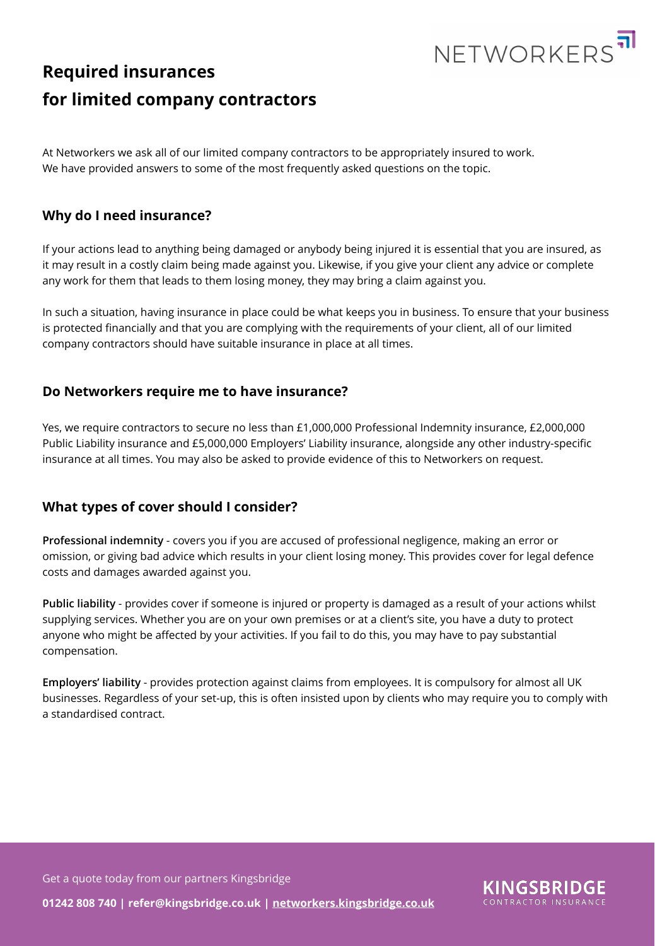

## **Required insurances for limited company contractors**

At Networkers we ask all of our limited company contractors to be appropriately insured to work. We have provided answers to some of the most frequently asked questions on the topic.

### **Why do I need insurance?**

If your actions lead to anything being damaged or anybody being injured it is essential that you are insured, as it may result in a costly claim being made against you. Likewise, if you give your client any advice or complete any work for them that leads to them losing money, they may bring a claim against you.

In such a situation, having insurance in place could be what keeps you in business. To ensure that your business is protected financially and that you are complying with the requirements of your client, all of our limited company contractors should have suitable insurance in place at all times.

### **Do Networkers require me to have insurance?**

Yes, we require contractors to secure no less than £1,000,000 Professional Indemnity insurance, £2,000,000 Public Liability insurance and £5,000,000 Employers' Liability insurance, alongside any other industry-specific insurance at all times. You may also be asked to provide evidence of this to Networkers on request.

## **What types of cover should I consider?**

**Professional indemnity** - covers you if you are accused of professional negligence, making an error or omission, or giving bad advice which results in your client losing money. This provides cover for legal defence costs and damages awarded against you.

**Public liability** - provides cover if someone is injured or property is damaged as a result of your actions whilst supplying services. Whether you are on your own premises or at a client's site, you have a duty to protect anyone who might be affected by your activities. If you fail to do this, you may have to pay substantial compensation.

**Employers' liability** - provides protection against claims from employees. It is compulsory for almost all UK businesses. Regardless of your set-up, this is often insisted upon by clients who may require you to comply with a standardised contract.

Get a quote today from our partners Kingsbridge

KINGSBRIDGE

**01242 808 740 | refer@kingsbridge.co.uk | [networkers.kingsbridge.co.uk](http://networkers.kingsbridge.co.uk)**